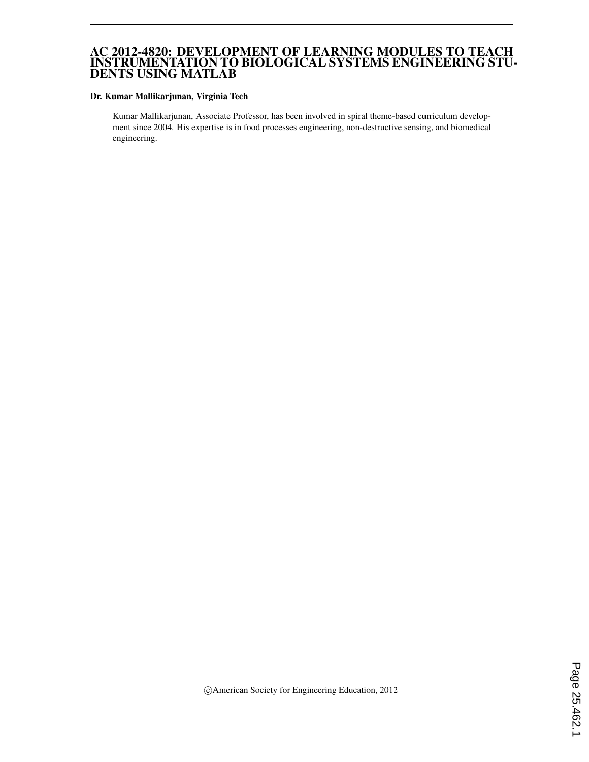### AC 2012-4820: DEVELOPMENT OF LEARNING MODULES TO TEACH INSTRUMENTATION TO BIOLOGICAL SYSTEMS ENGINEERING STU-DENTS USING MATLAB

#### Dr. Kumar Mallikarjunan, Virginia Tech

Kumar Mallikarjunan, Associate Professor, has been involved in spiral theme-based curriculum development since 2004. His expertise is in food processes engineering, non-destructive sensing, and biomedical engineering.

c American Society for Engineering Education, 2012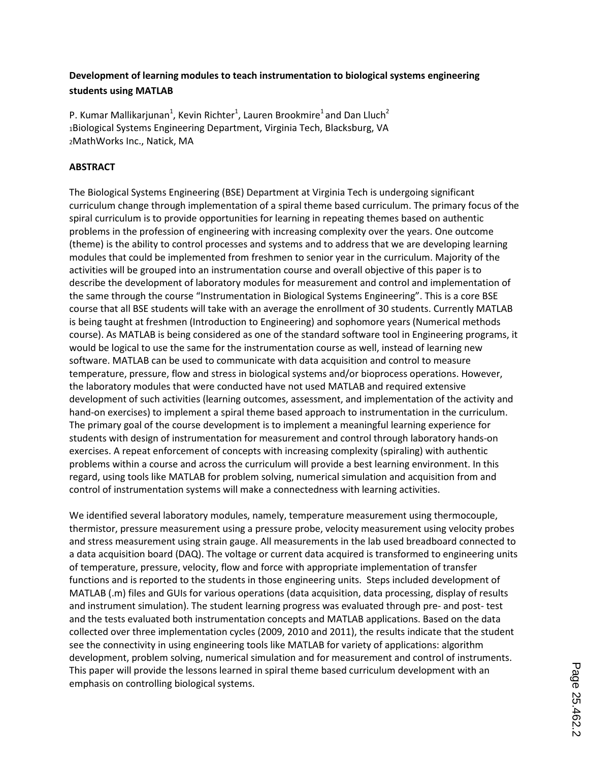# **Development of learning modules to teach instrumentation to biological systems engineering students using MATLAB**

P. Kumar Mallikarjunan<sup>1</sup>, Kevin Richter<sup>1</sup>, Lauren Brookmire<sup>1</sup> and Dan Lluch<sup>2</sup> <sup>1</sup>Biological Systems Engineering Department, Virginia Tech, Blacksburg, VA <sup>2</sup>MathWorks Inc., Natick, MA

## **ABSTRACT**

The Biological Systems Engineering (BSE) Department at Virginia Tech is undergoing significant curriculum change through implementation of a spiral theme based curriculum. The primary focus of the spiral curriculum is to provide opportunities for learning in repeating themes based on authentic problems in the profession of engineering with increasing complexity over the years. One outcome (theme) is the ability to control processes and systems and to address that we are developing learning modules that could be implemented from freshmen to senior year in the curriculum. Majority of the activities will be grouped into an instrumentation course and overall objective of this paper is to describe the development of laboratory modules for measurement and control and implementation of the same through the course "Instrumentation in Biological Systems Engineering". This is a core BSE course that all BSE students will take with an average the enrollment of 30 students. Currently MATLAB is being taught at freshmen (Introduction to Engineering) and sophomore years (Numerical methods course). As MATLAB is being considered as one of the standard software tool in Engineering programs, it would be logical to use the same for the instrumentation course as well, instead of learning new software. MATLAB can be used to communicate with data acquisition and control to measure temperature, pressure, flow and stress in biological systems and/or bioprocess operations. However, the laboratory modules that were conducted have not used MATLAB and required extensive development of such activities (learning outcomes, assessment, and implementation of the activity and hand-on exercises) to implement a spiral theme based approach to instrumentation in the curriculum. The primary goal of the course development is to implement a meaningful learning experience for students with design of instrumentation for measurement and control through laboratory hands-on exercises. A repeat enforcement of concepts with increasing complexity (spiraling) with authentic problems within a course and across the curriculum will provide a best learning environment. In this regard, using tools like MATLAB for problem solving, numerical simulation and acquisition from and control of instrumentation systems will make a connectedness with learning activities.

We identified several laboratory modules, namely, temperature measurement using thermocouple, thermistor, pressure measurement using a pressure probe, velocity measurement using velocity probes and stress measurement using strain gauge. All measurements in the lab used breadboard connected to a data acquisition board (DAQ). The voltage or current data acquired is transformed to engineering units of temperature, pressure, velocity, flow and force with appropriate implementation of transfer functions and is reported to the students in those engineering units. Steps included development of MATLAB (.m) files and GUIs for various operations (data acquisition, data processing, display of results and instrument simulation). The student learning progress was evaluated through pre- and post- test and the tests evaluated both instrumentation concepts and MATLAB applications. Based on the data collected over three implementation cycles (2009, 2010 and 2011), the results indicate that the student see the connectivity in using engineering tools like MATLAB for variety of applications: algorithm development, problem solving, numerical simulation and for measurement and control of instruments. This paper will provide the lessons learned in spiral theme based curriculum development with an emphasis on controlling biological systems.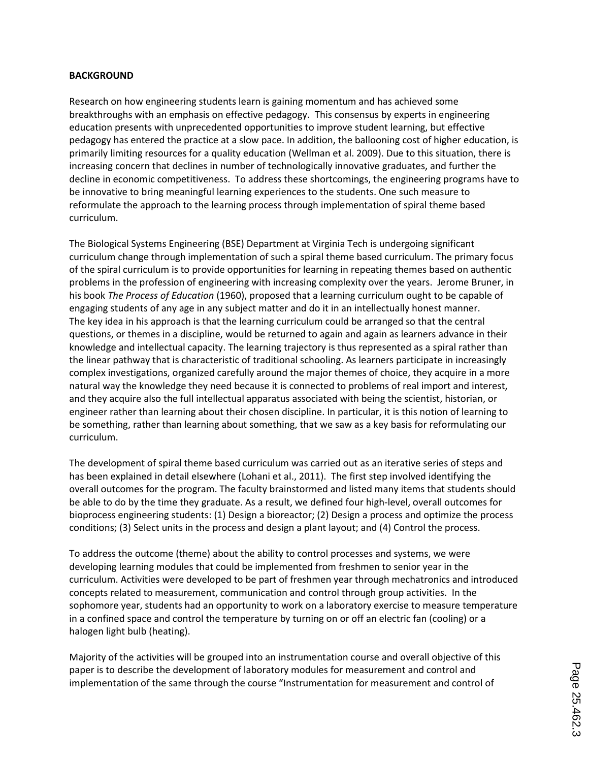#### **BACKGROUND**

Research on how engineering students learn is gaining momentum and has achieved some breakthroughs with an emphasis on effective pedagogy. This consensus by experts in engineering education presents with unprecedented opportunities to improve student learning, but effective pedagogy has entered the practice at a slow pace. In addition, the ballooning cost of higher education, is primarily limiting resources for a quality education (Wellman et al. 2009). Due to this situation, there is increasing concern that declines in number of technologically innovative graduates, and further the decline in economic competitiveness. To address these shortcomings, the engineering programs have to be innovative to bring meaningful learning experiences to the students. One such measure to reformulate the approach to the learning process through implementation of spiral theme based curriculum.

The Biological Systems Engineering (BSE) Department at Virginia Tech is undergoing significant curriculum change through implementation of such a spiral theme based curriculum. The primary focus of the spiral curriculum is to provide opportunities for learning in repeating themes based on authentic problems in the profession of engineering with increasing complexity over the years. Jerome Bruner, in his book *The Process of Education* (1960), proposed that a learning curriculum ought to be capable of engaging students of any age in any subject matter and do it in an intellectually honest manner. The key idea in his approach is that the learning curriculum could be arranged so that the central questions, or themes in a discipline, would be returned to again and again as learners advance in their knowledge and intellectual capacity. The learning trajectory is thus represented as a spiral rather than the linear pathway that is characteristic of traditional schooling. As learners participate in increasingly complex investigations, organized carefully around the major themes of choice, they acquire in a more natural way the knowledge they need because it is connected to problems of real import and interest, and they acquire also the full intellectual apparatus associated with being the scientist, historian, or engineer rather than learning about their chosen discipline. In particular, it is this notion of learning to be something, rather than learning about something, that we saw as a key basis for reformulating our curriculum.

The development of spiral theme based curriculum was carried out as an iterative series of steps and has been explained in detail elsewhere (Lohani et al., 2011). The first step involved identifying the overall outcomes for the program. The faculty brainstormed and listed many items that students should be able to do by the time they graduate. As a result, we defined four high-level, overall outcomes for bioprocess engineering students: (1) Design a bioreactor; (2) Design a process and optimize the process conditions; (3) Select units in the process and design a plant layout; and (4) Control the process.

To address the outcome (theme) about the ability to control processes and systems, we were developing learning modules that could be implemented from freshmen to senior year in the curriculum. Activities were developed to be part of freshmen year through mechatronics and introduced concepts related to measurement, communication and control through group activities. In the sophomore year, students had an opportunity to work on a laboratory exercise to measure temperature in a confined space and control the temperature by turning on or off an electric fan (cooling) or a halogen light bulb (heating).

Majority of the activities will be grouped into an instrumentation course and overall objective of this paper is to describe the development of laboratory modules for measurement and control and implementation of the same through the course "Instrumentation for measurement and control of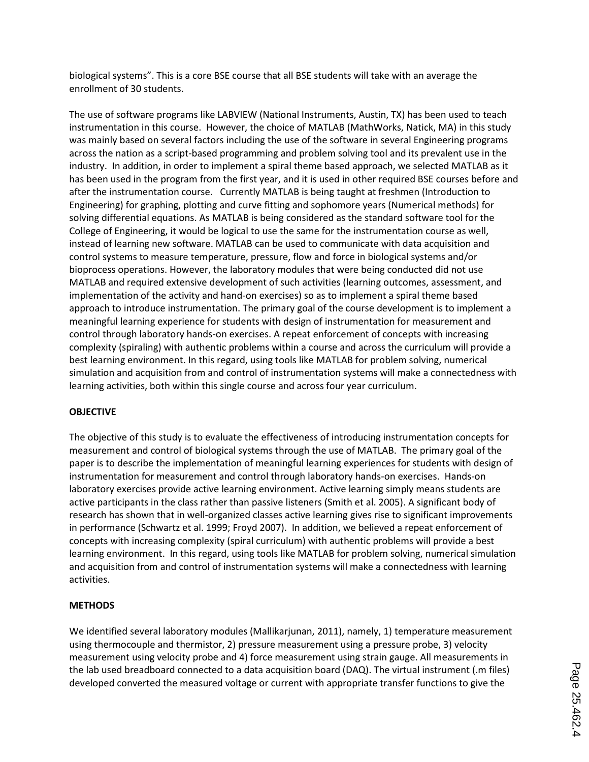biological systems". This is a core BSE course that all BSE students will take with an average the enrollment of 30 students.

The use of software programs like LABVIEW (National Instruments, Austin, TX) has been used to teach instrumentation in this course. However, the choice of MATLAB (MathWorks, Natick, MA) in this study was mainly based on several factors including the use of the software in several Engineering programs across the nation as a script-based programming and problem solving tool and its prevalent use in the industry. In addition, in order to implement a spiral theme based approach, we selected MATLAB as it has been used in the program from the first year, and it is used in other required BSE courses before and after the instrumentation course. Currently MATLAB is being taught at freshmen (Introduction to Engineering) for graphing, plotting and curve fitting and sophomore years (Numerical methods) for solving differential equations. As MATLAB is being considered as the standard software tool for the College of Engineering, it would be logical to use the same for the instrumentation course as well, instead of learning new software. MATLAB can be used to communicate with data acquisition and control systems to measure temperature, pressure, flow and force in biological systems and/or bioprocess operations. However, the laboratory modules that were being conducted did not use MATLAB and required extensive development of such activities (learning outcomes, assessment, and implementation of the activity and hand-on exercises) so as to implement a spiral theme based approach to introduce instrumentation. The primary goal of the course development is to implement a meaningful learning experience for students with design of instrumentation for measurement and control through laboratory hands-on exercises. A repeat enforcement of concepts with increasing complexity (spiraling) with authentic problems within a course and across the curriculum will provide a best learning environment. In this regard, using tools like MATLAB for problem solving, numerical simulation and acquisition from and control of instrumentation systems will make a connectedness with learning activities, both within this single course and across four year curriculum.

## **OBJECTIVE**

The objective of this study is to evaluate the effectiveness of introducing instrumentation concepts for measurement and control of biological systems through the use of MATLAB. The primary goal of the paper is to describe the implementation of meaningful learning experiences for students with design of instrumentation for measurement and control through laboratory hands-on exercises. Hands-on laboratory exercises provide active learning environment. Active learning simply means students are active participants in the class rather than passive listeners (Smith et al. 2005). A significant body of research has shown that in well-organized classes active learning gives rise to significant improvements in performance (Schwartz et al. 1999; Froyd 2007). In addition, we believed a repeat enforcement of concepts with increasing complexity (spiral curriculum) with authentic problems will provide a best learning environment. In this regard, using tools like MATLAB for problem solving, numerical simulation and acquisition from and control of instrumentation systems will make a connectedness with learning activities.

## **METHODS**

We identified several laboratory modules (Mallikarjunan, 2011), namely, 1) temperature measurement using thermocouple and thermistor, 2) pressure measurement using a pressure probe, 3) velocity measurement using velocity probe and 4) force measurement using strain gauge. All measurements in the lab used breadboard connected to a data acquisition board (DAQ). The virtual instrument (.m files) developed converted the measured voltage or current with appropriate transfer functions to give the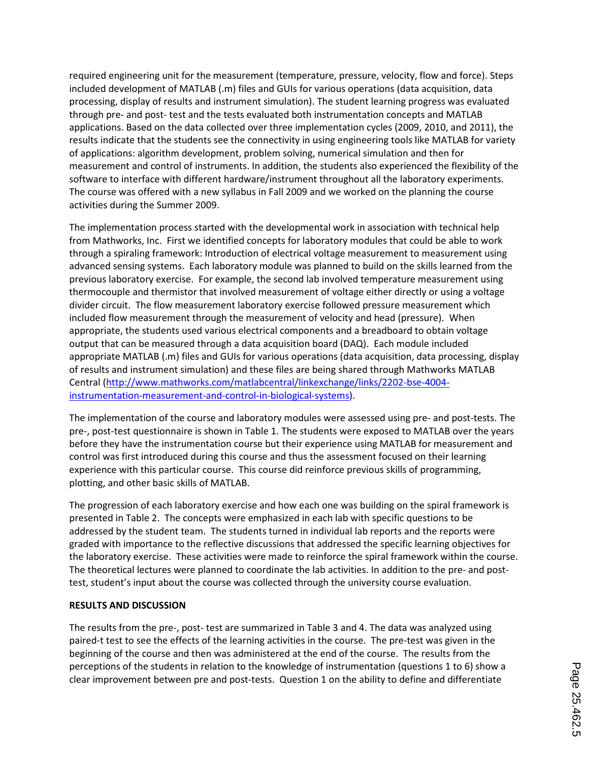required engineering unit for the measurement (temperature, pressure, velocity, flow and force). Steps included development of MATLAB (.m) files and GUIs for various operations (data acquisition, data processing, display of results and instrument simulation). The student learning progress was evaluated through pre- and post- test and the tests evaluated both instrumentation concepts and MATLAB applications. Based on the data collected over three implementation cycles (2009, 2010, and 2011), the results indicate that the students see the connectivity in using engineering tools like MATLAB for variety of applications: algorithm development, problem solving, numerical simulation and then for measurement and control of instruments. In addition, the students also experienced the flexibility of the software to interface with different hardware/instrument throughout all the laboratory experiments. The course was offered with a new syllabus in Fall 2009 and we worked on the planning the course activities during the Summer 2009.

The implementation process started with the developmental work in association with technical help from Mathworks, Inc. First we identified concepts for laboratory modules that could be able to work through a spiraling framework: Introduction of electrical voltage measurement to measurement using advanced sensing systems. Each laboratory module was planned to build on the skills learned from the previous laboratory exercise. For example, the second lab involved temperature measurement using thermocouple and thermistor that involved measurement of voltage either directly or using a voltage divider circuit. The flow measurement laboratory exercise followed pressure measurement which included flow measurement through the measurement of velocity and head (pressure). When appropriate, the students used various electrical components and a breadboard to obtain voltage output that can be measured through a data acquisition board (DAQ). Each module included appropriate MATLAB (.m) files and GUIs for various operations (data acquisition, data processing, display of results and instrument simulation) and these files are being shared through Mathworks MATLAB Central (http://www.mathworks.com/matlabcentral/linkexchange/links/2202-bse-4004 instrumentation-measurement-and-control-in-biological-systems).

The implementation of the course and laboratory modules were assessed using pre- and post-tests. The pre-, post-test questionnaire is shown in Table 1. The students were exposed to MATLAB over the years before they have the instrumentation course but their experience using MATLAB for measurement and control was first introduced during this course and thus the assessment focused on their learning experience with this particular course. This course did reinforce previous skills of programming, plotting, and other basic skills of MATLAB.

The progression of each laboratory exercise and how each one was building on the spiral framework is presented in Table 2. The concepts were emphasized in each lab with specific questions to be addressed by the student team. The students turned in individual lab reports and the reports were graded with importance to the reflective discussions that addressed the specific learning objectives for the laboratory exercise. These activities were made to reinforce the spiral framework within the course. The theoretical lectures were planned to coordinate the lab activities. In addition to the pre- and posttest, student's input about the course was collected through the university course evaluation.

#### **RESULTS AND DISCUSSION**

The results from the pre-, post- test are summarized in Table 3 and 4. The data was analyzed using paired-t test to see the effects of the learning activities in the course. The pre-test was given in the beginning of the course and then was administered at the end of the course. The results from the perceptions of the students in relation to the knowledge of instrumentation (questions 1 to 6) show a clear improvement between pre and post-tests. Question 1 on the ability to define and differentiate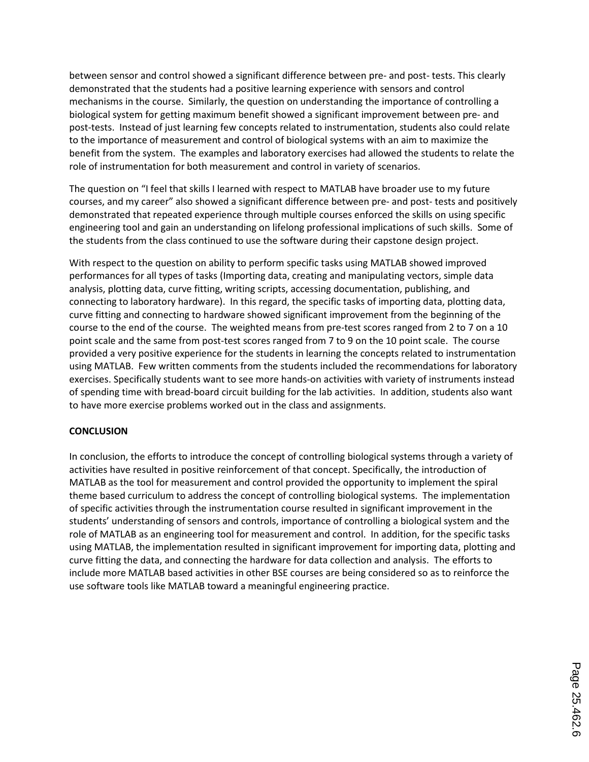between sensor and control showed a significant difference between pre- and post- tests. This clearly demonstrated that the students had a positive learning experience with sensors and control mechanisms in the course. Similarly, the question on understanding the importance of controlling a biological system for getting maximum benefit showed a significant improvement between pre- and post-tests. Instead of just learning few concepts related to instrumentation, students also could relate to the importance of measurement and control of biological systems with an aim to maximize the benefit from the system. The examples and laboratory exercises had allowed the students to relate the role of instrumentation for both measurement and control in variety of scenarios.

The question on "I feel that skills I learned with respect to MATLAB have broader use to my future courses, and my career" also showed a significant difference between pre- and post- tests and positively demonstrated that repeated experience through multiple courses enforced the skills on using specific engineering tool and gain an understanding on lifelong professional implications of such skills. Some of the students from the class continued to use the software during their capstone design project.

With respect to the question on ability to perform specific tasks using MATLAB showed improved performances for all types of tasks (Importing data, creating and manipulating vectors, simple data analysis, plotting data, curve fitting, writing scripts, accessing documentation, publishing, and connecting to laboratory hardware). In this regard, the specific tasks of importing data, plotting data, curve fitting and connecting to hardware showed significant improvement from the beginning of the course to the end of the course. The weighted means from pre-test scores ranged from 2 to 7 on a 10 point scale and the same from post-test scores ranged from 7 to 9 on the 10 point scale. The course provided a very positive experience for the students in learning the concepts related to instrumentation using MATLAB. Few written comments from the students included the recommendations for laboratory exercises. Specifically students want to see more hands-on activities with variety of instruments instead of spending time with bread-board circuit building for the lab activities. In addition, students also want to have more exercise problems worked out in the class and assignments.

#### **CONCLUSION**

In conclusion, the efforts to introduce the concept of controlling biological systems through a variety of activities have resulted in positive reinforcement of that concept. Specifically, the introduction of MATLAB as the tool for measurement and control provided the opportunity to implement the spiral theme based curriculum to address the concept of controlling biological systems. The implementation of specific activities through the instrumentation course resulted in significant improvement in the students' understanding of sensors and controls, importance of controlling a biological system and the role of MATLAB as an engineering tool for measurement and control. In addition, for the specific tasks using MATLAB, the implementation resulted in significant improvement for importing data, plotting and curve fitting the data, and connecting the hardware for data collection and analysis. The efforts to include more MATLAB based activities in other BSE courses are being considered so as to reinforce the use software tools like MATLAB toward a meaningful engineering practice.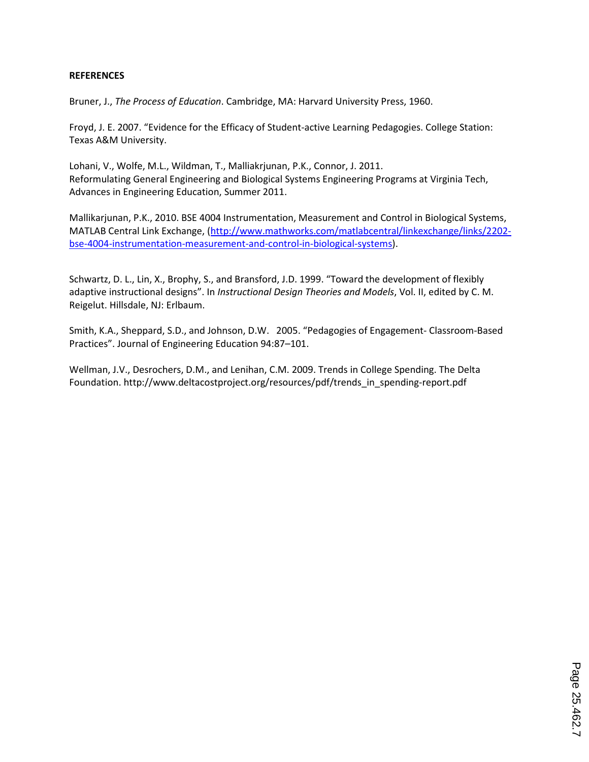#### **REFERENCES**

Bruner, J., *The Process of Education*. Cambridge, MA: Harvard University Press, 1960.

Froyd, J. E. 2007. "Evidence for the Efficacy of Student-active Learning Pedagogies. College Station: Texas A&M University.

Lohani, V., Wolfe, M.L., Wildman, T., Malliakrjunan, P.K., Connor, J. 2011. Reformulating General Engineering and Biological Systems Engineering Programs at Virginia Tech, Advances in Engineering Education, Summer 2011.

Mallikarjunan, P.K., 2010. BSE 4004 Instrumentation, Measurement and Control in Biological Systems, MATLAB Central Link Exchange, (http://www.mathworks.com/matlabcentral/linkexchange/links/2202 bse-4004-instrumentation-measurement-and-control-in-biological-systems).

Schwartz, D. L., Lin, X., Brophy, S., and Bransford, J.D. 1999. "Toward the development of flexibly adaptive instructional designs". In *Instructional Design Theories and Models*, Vol. II, edited by C. M. Reigelut. Hillsdale, NJ: Erlbaum.

Smith, K.A., Sheppard, S.D., and Johnson, D.W. 2005. "Pedagogies of Engagement- Classroom-Based Practices". Journal of Engineering Education 94:87–101.

Wellman, J.V., Desrochers, D.M., and Lenihan, C.M. 2009. Trends in College Spending. The Delta Foundation. http://www.deltacostproject.org/resources/pdf/trends\_in\_spending-report.pdf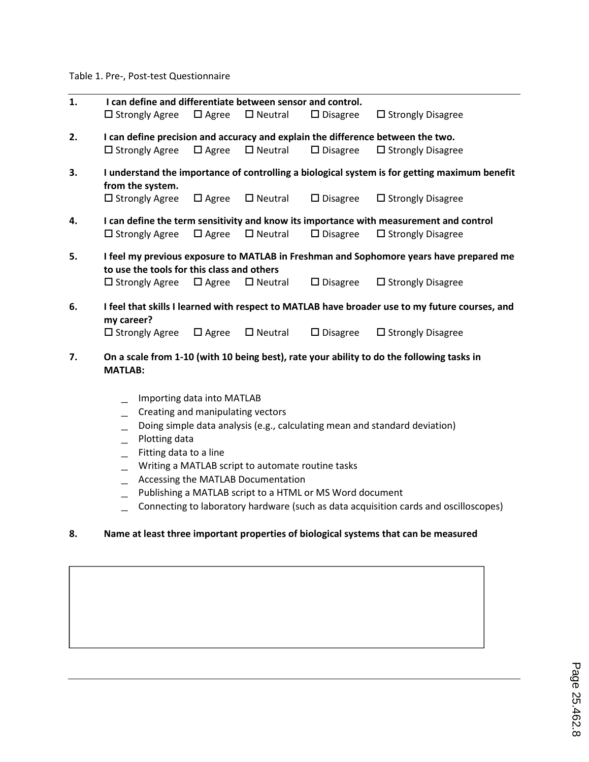Table 1. Pre-, Post-test Questionnaire

| 1. | I can define and differentiate between sensor and control.                                                                           |                                                                                                                |                             |                    |                                                                                                |  |  |  |  |  |  |  |
|----|--------------------------------------------------------------------------------------------------------------------------------------|----------------------------------------------------------------------------------------------------------------|-----------------------------|--------------------|------------------------------------------------------------------------------------------------|--|--|--|--|--|--|--|
|    | $\square$ Strongly Agree                                                                                                             |                                                                                                                | $\Box$ Agree $\Box$ Neutral | $\square$ Disagree | $\Box$ Strongly Disagree                                                                       |  |  |  |  |  |  |  |
| 2. |                                                                                                                                      | I can define precision and accuracy and explain the difference between the two.<br>$\Box$ Agree $\Box$ Neutral |                             |                    |                                                                                                |  |  |  |  |  |  |  |
|    | $\Box$ Strongly Agree                                                                                                                |                                                                                                                |                             | $\square$ Disagree | $\Box$ Strongly Disagree                                                                       |  |  |  |  |  |  |  |
| 3. | I understand the importance of controlling a biological system is for getting maximum benefit                                        |                                                                                                                |                             |                    |                                                                                                |  |  |  |  |  |  |  |
|    | from the system.                                                                                                                     |                                                                                                                |                             |                    |                                                                                                |  |  |  |  |  |  |  |
|    | $\Box$ Strongly Agree                                                                                                                | $\Box$ Agree                                                                                                   | $\square$ Neutral           | $\square$ Disagree | $\Box$ Strongly Disagree                                                                       |  |  |  |  |  |  |  |
| 4. | I can define the term sensitivity and know its importance with measurement and control                                               |                                                                                                                |                             |                    |                                                                                                |  |  |  |  |  |  |  |
|    | $\Box$ Strongly Agree                                                                                                                |                                                                                                                | $\Box$ Agree $\Box$ Neutral | $\square$ Disagree | $\Box$ Strongly Disagree                                                                       |  |  |  |  |  |  |  |
| 5. | I feel my previous exposure to MATLAB in Freshman and Sophomore years have prepared me<br>to use the tools for this class and others |                                                                                                                |                             |                    |                                                                                                |  |  |  |  |  |  |  |
|    | $\square$ Strongly Agree                                                                                                             |                                                                                                                | $\Box$ Agree $\Box$ Neutral | $\square$ Disagree | $\Box$ Strongly Disagree                                                                       |  |  |  |  |  |  |  |
| 6. | my career?                                                                                                                           |                                                                                                                |                             |                    | I feel that skills I learned with respect to MATLAB have broader use to my future courses, and |  |  |  |  |  |  |  |
|    | $\Box$ Strongly Agree                                                                                                                | $\Box$ Agree                                                                                                   | $\square$ Neutral           | $\Box$ Disagree    | $\Box$ Strongly Disagree                                                                       |  |  |  |  |  |  |  |
| 7. | <b>MATLAB:</b>                                                                                                                       |                                                                                                                |                             |                    | On a scale from 1-10 (with 10 being best), rate your ability to do the following tasks in      |  |  |  |  |  |  |  |

- \_ Importing data into MATLAB
- \_ Creating and manipulating vectors
- \_ Doing simple data analysis (e.g., calculating mean and standard deviation)
- \_ Plotting data
- \_ Fitting data to a line
- \_ Writing a MATLAB script to automate routine tasks
- \_ Accessing the MATLAB Documentation
- \_ Publishing a MATLAB script to a HTML or MS Word document
- \_ Connecting to laboratory hardware (such as data acquisition cards and oscilloscopes)

## **8. Name at least three important properties of biological systems that can be measured**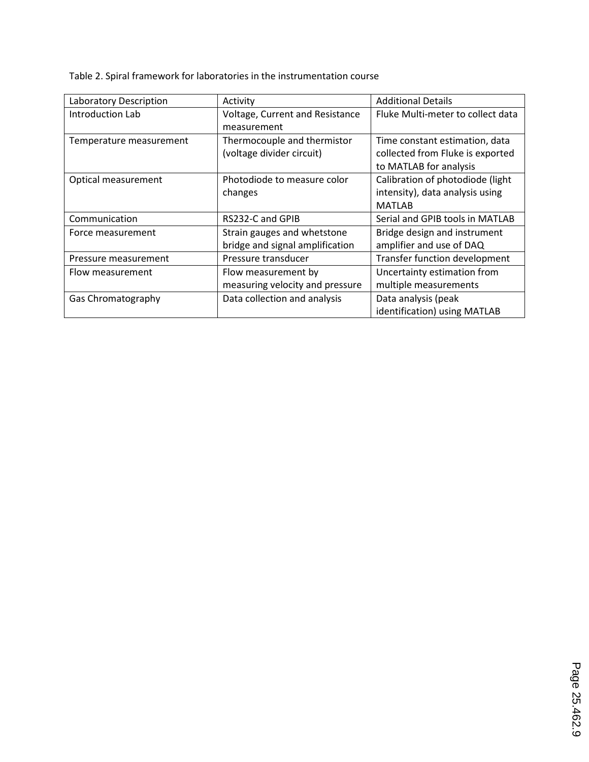Table 2. Spiral framework for laboratories in the instrumentation course

| Laboratory Description  | Activity                        | <b>Additional Details</b>         |
|-------------------------|---------------------------------|-----------------------------------|
| Introduction Lab        | Voltage, Current and Resistance | Fluke Multi-meter to collect data |
|                         | measurement                     |                                   |
| Temperature measurement | Thermocouple and thermistor     | Time constant estimation, data    |
|                         | (voltage divider circuit)       | collected from Fluke is exported  |
|                         |                                 | to MATLAB for analysis            |
| Optical measurement     | Photodiode to measure color     | Calibration of photodiode (light  |
|                         | changes                         | intensity), data analysis using   |
|                         |                                 | <b>MATLAB</b>                     |
| Communication           | RS232-C and GPIB                | Serial and GPIB tools in MATLAB   |
| Force measurement       | Strain gauges and whetstone     | Bridge design and instrument      |
|                         | bridge and signal amplification | amplifier and use of DAQ          |
| Pressure measurement    | Pressure transducer             | Transfer function development     |
| Flow measurement        | Flow measurement by             | Uncertainty estimation from       |
|                         | measuring velocity and pressure | multiple measurements             |
| Gas Chromatography      | Data collection and analysis    | Data analysis (peak               |
|                         |                                 | identification) using MATLAB      |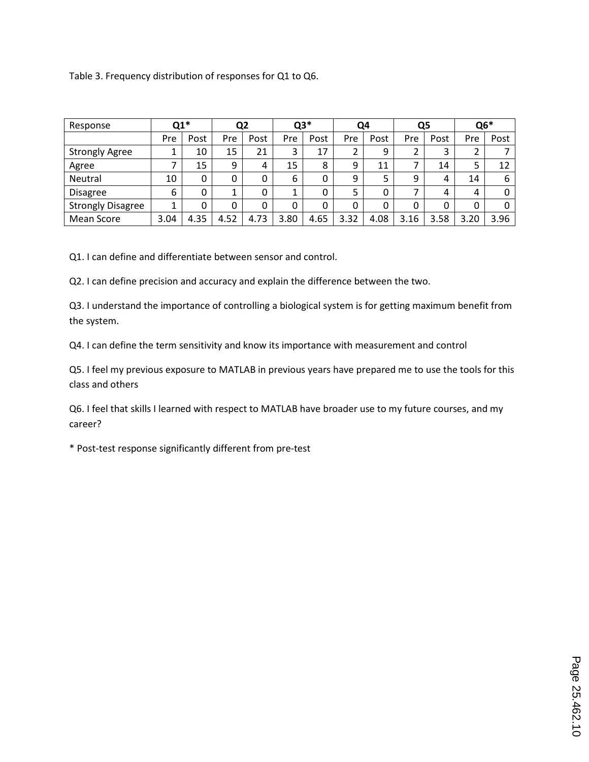Table 3. Frequency distribution of responses for Q1 to Q6.

| Response                 | $Q1*$ |      | Q2   |      | $Q3*$ |      | Q4             |      | Q5   |      | $Q6*$ |      |
|--------------------------|-------|------|------|------|-------|------|----------------|------|------|------|-------|------|
|                          | Pre   | Post | Pre  | Post | Pre   | Post | Pre            | Post | Pre  | Post | Pre   | Post |
| <b>Strongly Agree</b>    |       | 10   | 15   | 21   | 3     | 17   | $\overline{2}$ | 9    | 2    | 3    | 2     |      |
| Agree                    | ⇁     | 15   | 9    | 4    | 15    | 8    | 9              | 11   | 7    | 14   | 5     | 12   |
| Neutral                  | 10    | 0    | 0    | 0    | 6     | 0    | 9              |      | 9    | 4    | 14    | 6    |
| <b>Disagree</b>          | 6     | 0    |      |      | 1     |      | 5              |      | 7    | 4    | 4     |      |
| <b>Strongly Disagree</b> | 1     | 0    | 0    | 0    | 0     | 0    | 0              | 0    | 0    | 0    | 0     |      |
| Mean Score               | 3.04  | 4.35 | 4.52 | 4.73 | 3.80  | 4.65 | 3.32           | 4.08 | 3.16 | 3.58 | 3.20  | 3.96 |

Q1. I can define and differentiate between sensor and control.

Q2. I can define precision and accuracy and explain the difference between the two.

Q3. I understand the importance of controlling a biological system is for getting maximum benefit from the system.

Q4. I can define the term sensitivity and know its importance with measurement and control

Q5. I feel my previous exposure to MATLAB in previous years have prepared me to use the tools for this class and others

Q6. I feel that skills I learned with respect to MATLAB have broader use to my future courses, and my career?

\* Post-test response significantly different from pre-test